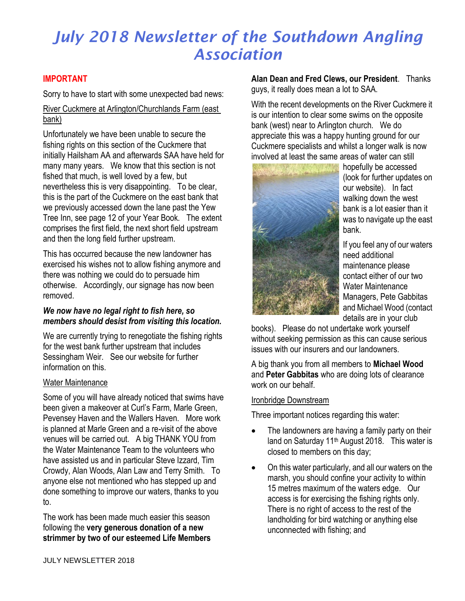### **IMPORTANT**

Sorry to have to start with some unexpected bad news:

### River Cuckmere at Arlington/Churchlands Farm (east bank)

Unfortunately we have been unable to secure the fishing rights on this section of the Cuckmere that initially Hailsham AA and afterwards SAA have held for many many years. We know that this section is not fished that much, is well loved by a few, but nevertheless this is very disappointing. To be clear, this is the part of the Cuckmere on the east bank that we previously accessed down the lane past the Yew Tree Inn, see page 12 of your Year Book. The extent comprises the first field, the next short field upstream and then the long field further upstream.

This has occurred because the new landowner has exercised his wishes not to allow fishing anymore and there was nothing we could do to persuade him otherwise. Accordingly, our signage has now been removed.

### *We now have no legal right to fish here, so members should desist from visiting this location.*

We are currently trying to renegotiate the fishing rights for the west bank further upstream that includes Sessingham Weir. See our website for further information on this.

#### Water Maintenance

Some of you will have already noticed that swims have been given a makeover at Curl's Farm, Marle Green, Pevensey Haven and the Wallers Haven. More work is planned at Marle Green and a re-visit of the above venues will be carried out. A big THANK YOU from the Water Maintenance Team to the volunteers who have assisted us and in particular Steve Izzard, Tim Crowdy, Alan Woods, Alan Law and Terry Smith. To anyone else not mentioned who has stepped up and done something to improve our waters, thanks to you to.

The work has been made much easier this season following the **very generous donation of a new strimmer by two of our esteemed Life Members**  **Alan Dean and Fred Clews, our President**. Thanks guys, it really does mean a lot to SAA.

With the recent developments on the River Cuckmere it is our intention to clear some swims on the opposite bank (west) near to Arlington church. We do appreciate this was a happy hunting ground for our Cuckmere specialists and whilst a longer walk is now involved at least the same areas of water can still



hopefully be accessed (look for further updates on our website). In fact walking down the west bank is a lot easier than it was to navigate up the east bank.

If you feel any of our waters need additional maintenance please contact either of our two Water Maintenance Managers, Pete Gabbitas and Michael Wood (contact details are in your club

books). Please do not undertake work yourself without seeking permission as this can cause serious issues with our insurers and our landowners.

A big thank you from all members to **Michael Wood** and **Peter Gabbitas** who are doing lots of clearance work on our behalf.

#### Ironbridge Downstream

Three important notices regarding this water:

- The landowners are having a family party on their land on Saturday 11<sup>th</sup> August 2018. This water is closed to members on this day;
- On this water particularly, and all our waters on the marsh, you should confine your activity to within 15 metres maximum of the waters edge. Our access is for exercising the fishing rights only. There is no right of access to the rest of the landholding for bird watching or anything else unconnected with fishing; and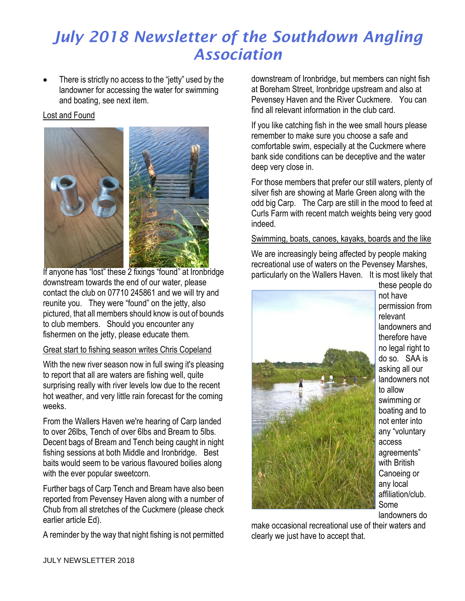There is strictly no access to the "jetty" used by the landowner for accessing the water for swimming and boating, see next item.

### Lost and Found



If anyone has "lost" these 2 fixings "found" at Ironbridge downstream towards the end of our water, please contact the club on 07710 245861 and we will try and reunite you. They were "found" on the jetty, also pictured, that all members should know is out of bounds to club members. Should you encounter any fishermen on the jetty, please educate them.

### Great start to fishing season writes Chris Copeland

With the new river season now in full swing it's pleasing to report that all are waters are fishing well, quite surprising really with river levels low due to the recent hot weather, and very little rain forecast for the coming weeks.

From the Wallers Haven we're hearing of Carp landed to over 26lbs, Tench of over 6lbs and Bream to 5lbs. Decent bags of Bream and Tench being caught in night fishing sessions at both Middle and Ironbridge. Best baits would seem to be various flavoured boilies along with the ever popular sweetcorn.

Further bags of Carp Tench and Bream have also been reported from Pevensey Haven along with a number of Chub from all stretches of the Cuckmere (please check earlier article Ed).

A reminder by the way that night fishing is not permitted

downstream of Ironbridge, but members can night fish at Boreham Street, Ironbridge upstream and also at Pevensey Haven and the River Cuckmere. You can find all relevant information in the club card.

If you like catching fish in the wee small hours please remember to make sure you choose a safe and comfortable swim, especially at the Cuckmere where bank side conditions can be deceptive and the water deep very close in.

For those members that prefer our still waters, plenty of silver fish are showing at Marle Green along with the odd big Carp. The Carp are still in the mood to feed at Curls Farm with recent match weights being very good indeed.

Swimming, boats, canoes, kayaks, boards and the like

We are increasingly being affected by people making recreational use of waters on the Pevensey Marshes, particularly on the Wallers Haven. It is most likely that



these people do not have permission from relevant landowners and therefore have no legal right to do so. SAA is asking all our landowners not to allow swimming or boating and to not enter into any "voluntary access agreements" with British Canoeing or any local affiliation/club. Some landowners do

make occasional recreational use of their waters and clearly we just have to accept that.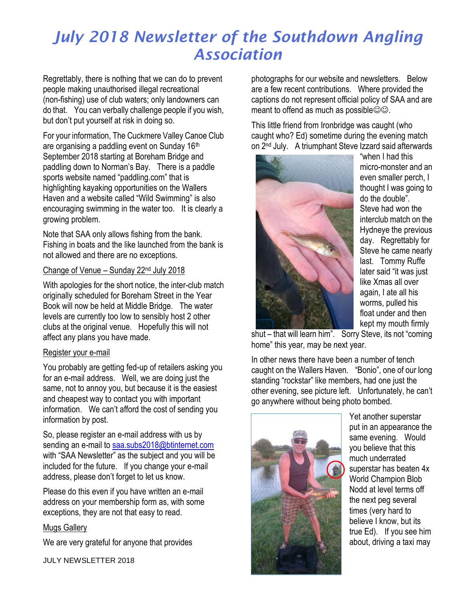Regrettably, there is nothing that we can do to prevent people making unauthorised illegal recreational (non-fishing) use of club waters; only landowners can do that. You can verbally challenge people if you wish, but don't put yourself at risk in doing so.

For your information, The Cuckmere Valley Canoe Club are organising a paddling event on Sunday 16th September 2018 starting at Boreham Bridge and paddling down to Norman's Bay. There is a paddle sports website named "paddling.com" that is highlighting kayaking opportunities on the Wallers Haven and a website called "Wild Swimming" is also encouraging swimming in the water too. It is clearly a growing problem.

Note that SAA only allows fishing from the bank. Fishing in boats and the like launched from the bank is not allowed and there are no exceptions.

#### Change of Venue – Sunday 22nd July 2018

With apologies for the short notice, the inter-club match originally scheduled for Boreham Street in the Year Book will now be held at Middle Bridge. The water levels are currently too low to sensibly host 2 other clubs at the original venue. Hopefully this will not affect any plans you have made.

### Register your e-mail

You probably are getting fed-up of retailers asking you for an e-mail address. Well, we are doing just the same, not to annoy you, but because it is the easiest and cheapest way to contact you with important information. We can't afford the cost of sending you information by post.

So, please register an e-mail address with us by sending an e-mail to [saa.subs2018@btinternet.com](mailto:saa.subs2018@btinternet.com) with "SAA Newsletter" as the subject and you will be included for the future. If you change your e-mail address, please don't forget to let us know.

Please do this even if you have written an e-mail address on your membership form as, with some exceptions, they are not that easy to read.

### Mugs Gallery

We are very grateful for anyone that provides

JULY NEWSLETTER 2018

photographs for our website and newsletters. Below are a few recent contributions. Where provided the captions do not represent official policy of SAA and are meant to offend as much as possible $\odot \odot$ .

This little friend from Ironbridge was caught (who caught who? Ed) sometime during the evening match on 2nd July. A triumphant Steve Izzard said afterwards



"when I had this micro-monster and an even smaller perch, I thought I was going to do the double". Steve had won the interclub match on the Hydneye the previous day. Regrettably for Steve he came nearly last. Tommy Ruffe later said "it was just like Xmas all over again, I ate all his worms, pulled his float under and then kept my mouth firmly

shut – that will learn him". Sorry Steve, its not "coming home" this year, may be next year.

In other news there have been a number of tench caught on the Wallers Haven. "Bonio", one of our long standing "rockstar" like members, had one just the other evening, see picture left. Unfortunately, he can't go anywhere without being photo bombed.



Yet another superstar put in an appearance the same evening. Would you believe that this much underrated superstar has beaten 4x World Champion Blob Nodd at level terms off the next peg several times (very hard to believe I know, but its true Ed). If you see him about, driving a taxi may